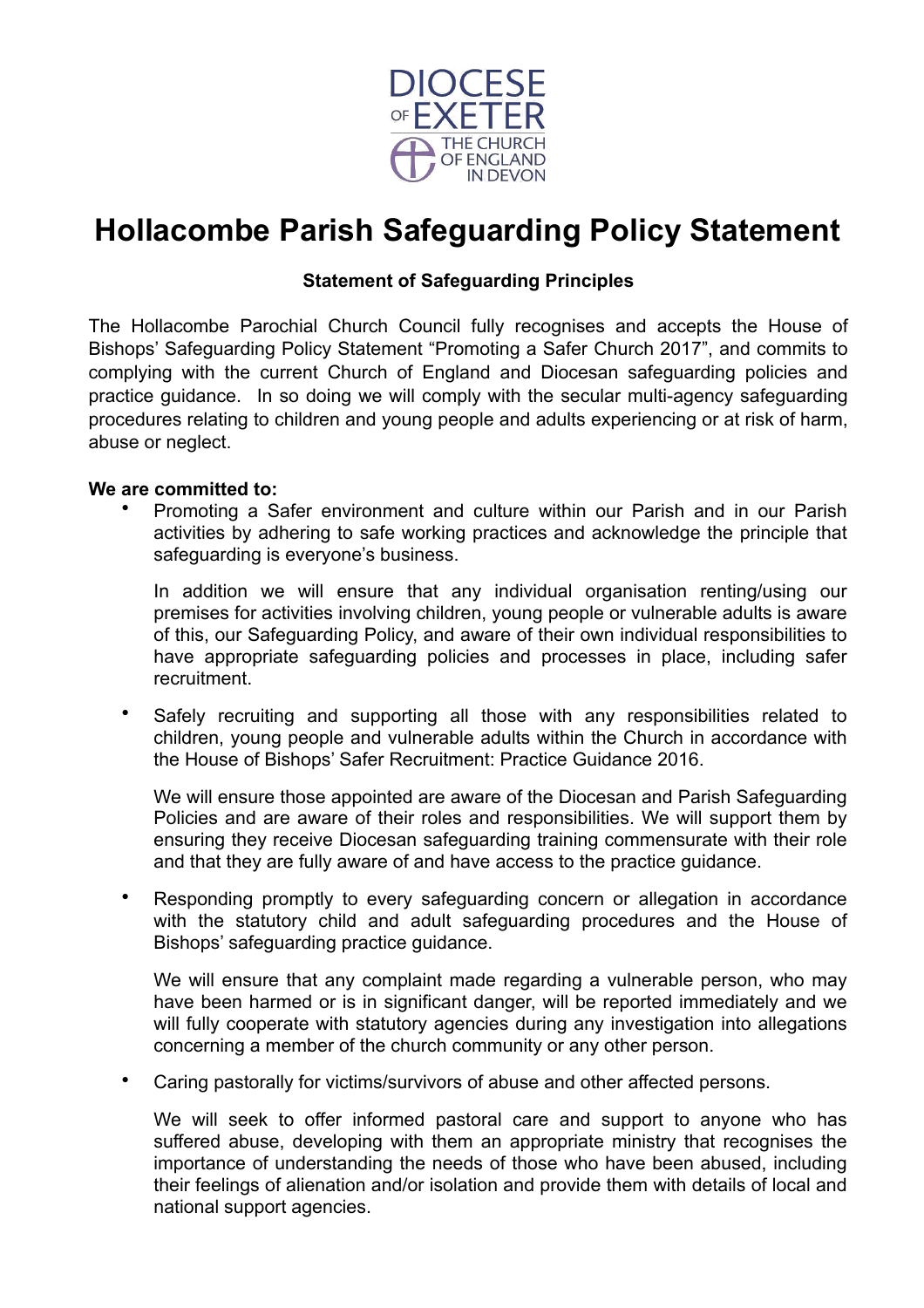

# **Hollacombe Parish Safeguarding Policy Statement**

## **Statement of Safeguarding Principles**

The Hollacombe Parochial Church Council fully recognises and accepts the House of Bishops' Safeguarding Policy Statement "Promoting a Safer Church 2017", and commits to complying with the current Church of England and Diocesan safeguarding policies and practice guidance. In so doing we will comply with the secular multi-agency safeguarding procedures relating to children and young people and adults experiencing or at risk of harm, abuse or neglect.

## **We are committed to:**

• Promoting a Safer environment and culture within our Parish and in our Parish activities by adhering to safe working practices and acknowledge the principle that safeguarding is everyone's business.

In addition we will ensure that any individual organisation renting/using our premises for activities involving children, young people or vulnerable adults is aware of this, our Safeguarding Policy, and aware of their own individual responsibilities to have appropriate safeguarding policies and processes in place, including safer recruitment.

Safely recruiting and supporting all those with any responsibilities related to children, young people and vulnerable adults within the Church in accordance with the House of Bishops' Safer Recruitment: Practice Guidance 2016.

We will ensure those appointed are aware of the Diocesan and Parish Safeguarding Policies and are aware of their roles and responsibilities. We will support them by ensuring they receive Diocesan safeguarding training commensurate with their role and that they are fully aware of and have access to the practice guidance.

• Responding promptly to every safeguarding concern or allegation in accordance with the statutory child and adult safeguarding procedures and the House of Bishops' safeguarding practice guidance.

We will ensure that any complaint made regarding a vulnerable person, who may have been harmed or is in significant danger, will be reported immediately and we will fully cooperate with statutory agencies during any investigation into allegations concerning a member of the church community or any other person.

• Caring pastorally for victims/survivors of abuse and other affected persons.

We will seek to offer informed pastoral care and support to anyone who has suffered abuse, developing with them an appropriate ministry that recognises the importance of understanding the needs of those who have been abused, including their feelings of alienation and/or isolation and provide them with details of local and national support agencies.